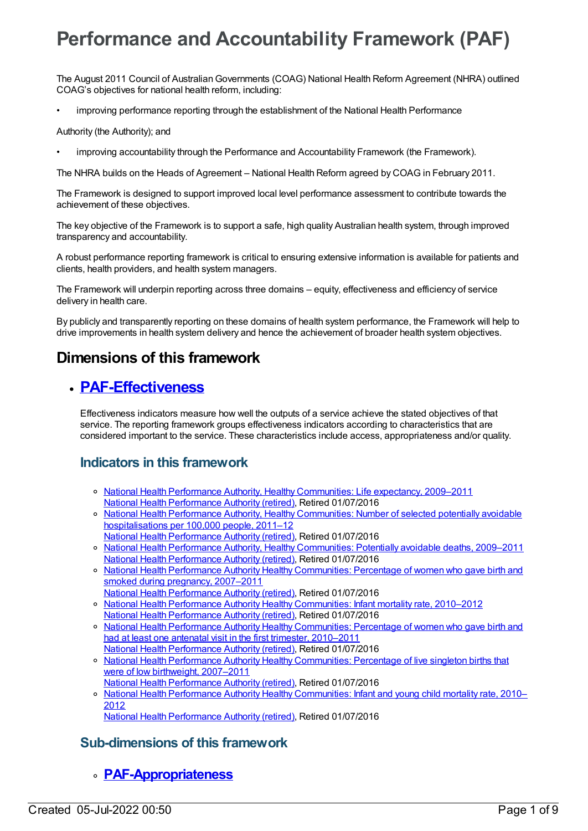# **Performance and Accountability Framework (PAF)**

The August 2011 Council of AustralianGovernments (COAG) National Health Reform Agreement (NHRA) outlined COAG's objectives for national health reform, including:

• improving performance reporting through the establishment of the National Health Performance

Authority (the Authority); and

• improving accountability through the Performance and Accountability Framework (the Framework).

The NHRA builds on the Heads of Agreement – National Health Reform agreed by COAG in February 2011.

The Framework is designed to support improved local level performance assessment to contribute towards the achievement of these objectives.

The key objective of the Framework is to support a safe, high quality Australian health system, through improved transparency and accountability.

A robust performance reporting framework is critical to ensuring extensive information is available for patients and clients, health providers, and health system managers.

The Framework will underpin reporting across three domains – equity, effectiveness and efficiency of service delivery in health care.

By publicly and transparently reporting on these domains of health system performance, the Framework will help to drive improvements in health system delivery and hence the achievement of broader health system objectives.

## **Dimensions of this framework**

#### **[PAF-Effectiveness](https://meteor.aihw.gov.au/content/554925)**

Effectiveness indicators measure how well the outputs of a service achieve the stated objectives of that service. The reporting framework groups effectiveness indicators according to characteristics that are considered important to the service. These characteristics include access, appropriateness and/or quality.

#### **Indicators in this framework**

- o National Health Performance Authority, Healthy [Communities:](https://meteor.aihw.gov.au/content/527641) Life expectancy, 2009–2011 National Health [Performance](https://meteor.aihw.gov.au/RegistrationAuthority/8) Authority (retired), Retired 01/07/2016
- o National Health Performance Authority, Healthy [Communities:](https://meteor.aihw.gov.au/content/549587) Number of selected potentially avoidable hospitalisations per 100,000 people, 2011–12
- National Health [Performance](https://meteor.aihw.gov.au/RegistrationAuthority/8) Authority (retired), Retired 01/07/2016 National Health Performance Authority, Healthy [Communities:](https://meteor.aihw.gov.au/content/527720) Potentially avoidable deaths, 2009–2011 National Health [Performance](https://meteor.aihw.gov.au/RegistrationAuthority/8) Authority (retired), Retired 01/07/2016
- National Health Performance Authority Healthy [Communities:](https://meteor.aihw.gov.au/content/583506) Percentage of women who gave birth and smoked during pregnancy, 2007–2011
- National Health [Performance](https://meteor.aihw.gov.au/RegistrationAuthority/8) Authority (retired), Retired 01/07/2016
- o National Health Performance Authority Healthy [Communities:](https://meteor.aihw.gov.au/content/583497) Infant mortality rate, 2010–2012 National Health [Performance](https://meteor.aihw.gov.au/RegistrationAuthority/8) Authority (retired), Retired 01/07/2016
- o National Health Performance Authority Healthy [Communities:](https://meteor.aihw.gov.au/content/583479) Percentage of women who gave birth and had at least one antenatal visit in the first trimester, 2010–2011 National Health [Performance](https://meteor.aihw.gov.au/RegistrationAuthority/8) Authority (retired), Retired 01/07/2016
- o National Health Performance Authority Healthy [Communities:](https://meteor.aihw.gov.au/content/578021) Percentage of live singleton births that were of low birthweight, 2007–2011 National Health [Performance](https://meteor.aihw.gov.au/RegistrationAuthority/8) Authority (retired), Retired 01/07/2016
- o National Health Performance Authority Healthy [Communities:](https://meteor.aihw.gov.au/content/577612) Infant and young child mortality rate, 2010– 2012 National Health [Performance](https://meteor.aihw.gov.au/RegistrationAuthority/8) Authority (retired), Retired 01/07/2016

#### **Sub-dimensions of this framework**

**[PAF-Appropriateness](https://meteor.aihw.gov.au/content/554929)**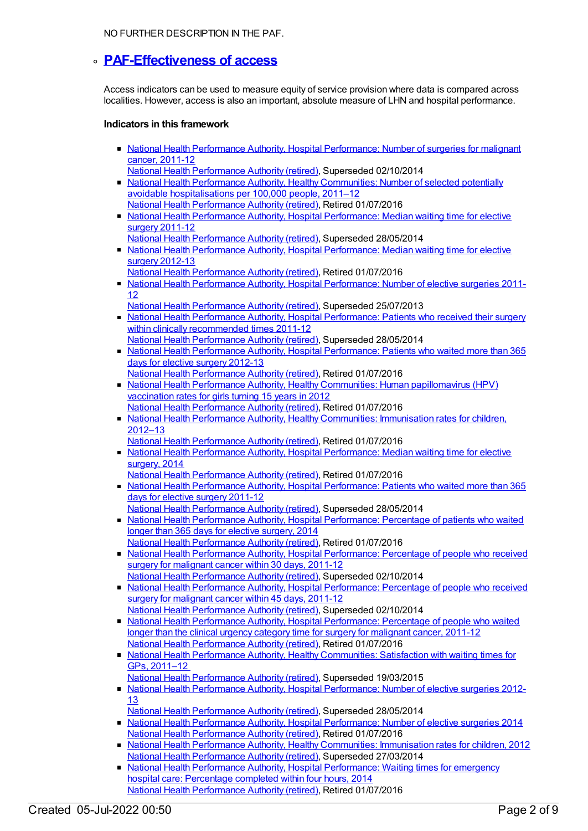NO FURTHER DESCRIPTION IN THE PAF.

#### **[PAF-Effectiveness](https://meteor.aihw.gov.au/content/554928) of access**

Access indicators can be used to measure equity of service provision where data is compared across localities. However, access is also an important, absolute measure of LHN and hospital performance.

#### **Indicators in this framework**

- National Health Performance Authority, Hospital [Performance:](https://meteor.aihw.gov.au/content/530143) Number of surgeries for malignant cancer, 2011-12
- National Health [Performance](https://meteor.aihw.gov.au/RegistrationAuthority/8) Authority (retired), Superseded 02/10/2014 • National Health Performance Authority, Healthy [Communities:](https://meteor.aihw.gov.au/content/549587) Number of selected potentially avoidable hospitalisations per 100,000 people, 2011–12 National Health [Performance](https://meteor.aihw.gov.au/RegistrationAuthority/8) Authority (retired), Retired 01/07/2016
- National Health Performance Authority, Hospital [Performance:](https://meteor.aihw.gov.au/content/527347) Median waiting time for elective surgery 2011-12
- National Health [Performance](https://meteor.aihw.gov.au/RegistrationAuthority/8) Authority (retired), Superseded 28/05/2014 • National Health Performance Authority, Hospital [Performance:](https://meteor.aihw.gov.au/content/532942) Median waiting time for elective surgery 2012-13
- National Health [Performance](https://meteor.aihw.gov.au/RegistrationAuthority/8) Authority (retired), Retired 01/07/2016 • National Health Performance Authority, Hospital [Performance:](https://meteor.aihw.gov.au/content/527374) Number of elective surgeries 2011-12
	- National Health [Performance](https://meteor.aihw.gov.au/RegistrationAuthority/8) Authority (retired), Superseded 25/07/2013
- National Health Performance Authority, Hospital [Performance:](https://meteor.aihw.gov.au/content/527368) Patients who received their surgery within clinically recommended times 2011-12 National Health [Performance](https://meteor.aihw.gov.au/RegistrationAuthority/8) Authority (retired), Superseded 28/05/2014
- National Health Performance Authority, Hospital [Performance:](https://meteor.aihw.gov.au/content/532932) Patients who waited more than 365 days for elective surgery 2012-13 National Health [Performance](https://meteor.aihw.gov.au/RegistrationAuthority/8) Authority (retired), Retired 01/07/2016
- National Health Performance Authority, Healthy Communities: Human [papillomavirus](https://meteor.aihw.gov.au/content/564385) (HPV) vaccination rates for girls turning 15 years in 2012 National Health [Performance](https://meteor.aihw.gov.au/RegistrationAuthority/8) Authority (retired), Retired 01/07/2016
- National Health Performance Authority, Healthy [Communities:](https://meteor.aihw.gov.au/content/564342) Immunisation rates for children, 2012–13
	- National Health [Performance](https://meteor.aihw.gov.au/RegistrationAuthority/8) Authority (retired), Retired 01/07/2016
- National Health Performance Authority, Hospital [Performance:](https://meteor.aihw.gov.au/content/558302) Median waiting time for elective surgery, 2014
	- National Health [Performance](https://meteor.aihw.gov.au/RegistrationAuthority/8) Authority (retired), Retired 01/07/2016
- National Health Performance Authority, Hospital [Performance:](https://meteor.aihw.gov.au/content/527371) Patients who waited more than 365 days for elective surgery 2011-12
- National Health [Performance](https://meteor.aihw.gov.au/RegistrationAuthority/8) Authority (retired), Superseded 28/05/2014
- National Health Performance Authority, Hospital [Performance:](https://meteor.aihw.gov.au/content/558296) Percentage of patients who waited longer than 365 days for elective surgery, 2014 National Health [Performance](https://meteor.aihw.gov.au/RegistrationAuthority/8) Authority (retired), Retired 01/07/2016
- National Health Performance Authority, Hospital [Performance:](https://meteor.aihw.gov.au/content/530411) Percentage of people who received surgery for malignant cancer within 30 days, 2011-12 National Health [Performance](https://meteor.aihw.gov.au/RegistrationAuthority/8) Authority (retired), Superseded 02/10/2014
- National Health Performance Authority, Hospital [Performance:](https://meteor.aihw.gov.au/content/543422) Percentage of people who received surgery for malignant cancer within 45 days, 2011-12 National Health [Performance](https://meteor.aihw.gov.au/RegistrationAuthority/8) Authority (retired), Superseded 02/10/2014
- National Health Performance Authority, Hospital [Performance:](https://meteor.aihw.gov.au/content/530408) Percentage of people who waited longer than the clinical urgency category time for surgery for malignant cancer, 2011-12 National Health [Performance](https://meteor.aihw.gov.au/RegistrationAuthority/8) Authority (retired), Retired 01/07/2016
- National Health Performance Authority, Healthy [Communities:](https://meteor.aihw.gov.au/content/529386) Satisfaction with waiting times for GPs, 2011–12
- National Health [Performance](https://meteor.aihw.gov.au/RegistrationAuthority/8) Authority (retired), Superseded 19/03/2015
- National Health Performance Authority, Hospital [Performance:](https://meteor.aihw.gov.au/content/532929) Number of elective surgeries 2012-13
- National Health [Performance](https://meteor.aihw.gov.au/RegistrationAuthority/8) Authority (retired), Superseded 28/05/2014
- National Health Performance Authority, Hospital [Performance:](https://meteor.aihw.gov.au/content/558288) Number of elective surgeries 2014 National Health [Performance](https://meteor.aihw.gov.au/RegistrationAuthority/8) Authority (retired), Retired 01/07/2016
- National Health Performance Authority, Healthy [Communities:](https://meteor.aihw.gov.au/content/515538) Immunisation rates for children, 2012 National Health [Performance](https://meteor.aihw.gov.au/RegistrationAuthority/8) Authority (retired), Superseded 27/03/2014
- **National Health Performance Authority, Hospital [Performance:](https://meteor.aihw.gov.au/content/558277) Waiting times for emergency** hospital care: Percentage completed within four hours, 2014 National Health [Performance](https://meteor.aihw.gov.au/RegistrationAuthority/8) Authority (retired), Retired 01/07/2016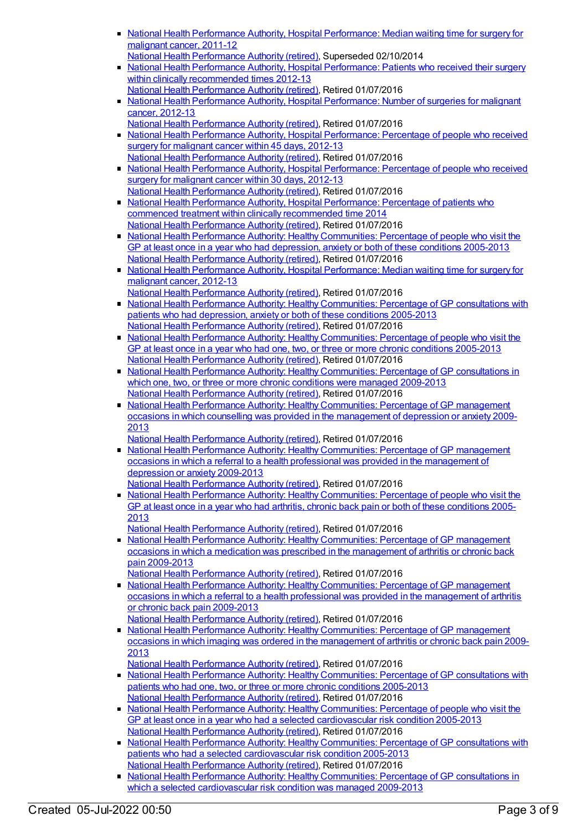- National Health Performance Authority, Hospital [Performance:](https://meteor.aihw.gov.au/content/530403) Median waiting time for surgery for malignant cancer, 2011-12 National Health [Performance](https://meteor.aihw.gov.au/RegistrationAuthority/8) Authority (retired), Superseded 02/10/2014
- National Health Performance Authority, Hospital [Performance:](https://meteor.aihw.gov.au/content/532935) Patients who received their surgery within clinically recommended times 2012-13 National Health [Performance](https://meteor.aihw.gov.au/RegistrationAuthority/8) Authority (retired), Retired 01/07/2016
- National Health Performance Authority, Hospital [Performance:](https://meteor.aihw.gov.au/content/579929) Number of surgeries for malignant cancer, 2012-13
- National Health [Performance](https://meteor.aihw.gov.au/RegistrationAuthority/8) Authority (retired), Retired 01/07/2016 • National Health Performance Authority, Hospital [Performance:](https://meteor.aihw.gov.au/content/579894) Percentage of people who received surgery for malignant cancer within 45 days, 2012-13 National Health [Performance](https://meteor.aihw.gov.au/RegistrationAuthority/8) Authority (retired), Retired 01/07/2016
- National Health Performance Authority, Hospital [Performance:](https://meteor.aihw.gov.au/content/579993) Percentage of people who received surgery for malignant cancer within 30 days, 2012-13 National Health [Performance](https://meteor.aihw.gov.au/RegistrationAuthority/8) Authority (retired), Retired 01/07/2016
- National Health Performance Authority, Hospital [Performance:](https://meteor.aihw.gov.au/content/563081) Percentage of patients who commenced treatment within clinically recommended time 2014 National Health [Performance](https://meteor.aihw.gov.au/RegistrationAuthority/8) Authority (retired), Retired 01/07/2016
- National Health Performance Authority: Healthy [Communities:](https://meteor.aihw.gov.au/content/593768) Percentage of people who visit the GP at least once in a year who had depression, anxiety or both of these conditions 2005-2013 National Health [Performance](https://meteor.aihw.gov.au/RegistrationAuthority/8) Authority (retired), Retired 01/07/2016
- National Health Performance Authority, Hospital [Performance:](https://meteor.aihw.gov.au/content/579970) Median waiting time for surgery for malignant cancer, 2012-13
- National Health [Performance](https://meteor.aihw.gov.au/RegistrationAuthority/8) Authority (retired), Retired 01/07/2016 • National Health Performance Authority: Healthy [Communities:](https://meteor.aihw.gov.au/content/588162) Percentage of GP consultations with patients who had depression, anxiety or both of these conditions 2005-2013 National Health [Performance](https://meteor.aihw.gov.au/RegistrationAuthority/8) Authority (retired), Retired 01/07/2016
- National Health Performance Authority: Healthy [Communities:](https://meteor.aihw.gov.au/content/586349) Percentage of people who visit the GP at least once in a year who had one, two, or three or more chronic conditions 2005-2013 National Health [Performance](https://meteor.aihw.gov.au/RegistrationAuthority/8) Authority (retired), Retired 01/07/2016
- National Health Performance Authority: Healthy [Communities:](https://meteor.aihw.gov.au/content/586345) Percentage of GP consultations in which one, two, or three or more chronic conditions were managed 2009-2013 National Health [Performance](https://meteor.aihw.gov.au/RegistrationAuthority/8) Authority (retired), Retired 01/07/2016
- National Health Performance Authority: Healthy [Communities:](https://meteor.aihw.gov.au/content/593774) Percentage of GP management occasions in which counselling was provided in the management of depression or anxiety 2009- 2013
- National Health [Performance](https://meteor.aihw.gov.au/RegistrationAuthority/8) Authority (retired), Retired 01/07/2016
- National Health Performance Authority: Healthy [Communities:](https://meteor.aihw.gov.au/content/594756) Percentage of GP management occasions in which a referral to a health professional was provided in the management of depression or anxiety 2009-2013
	- National Health [Performance](https://meteor.aihw.gov.au/RegistrationAuthority/8) Authority (retired), Retired 01/07/2016
- National Health Performance Authority: Healthy [Communities:](https://meteor.aihw.gov.au/content/593791) Percentage of people who visit the GP at least once in a year who had arthritis, chronic back pain or both of these conditions 2005- 2013
	- National Health [Performance](https://meteor.aihw.gov.au/RegistrationAuthority/8) Authority (retired), Retired 01/07/2016
- National Health Performance Authority: Healthy [Communities:](https://meteor.aihw.gov.au/content/593798) Percentage of GP management occasions in which a medication was prescribed in the management of arthritis or chronic back pain 2009-2013
- National Health [Performance](https://meteor.aihw.gov.au/RegistrationAuthority/8) Authority (retired), Retired 01/07/2016
- National Health Performance Authority: Healthy [Communities:](https://meteor.aihw.gov.au/content/595024) Percentage of GP management occasions in which a referral to a health professional was provided in the management of arthritis or chronic back pain 2009-2013
	- National Health [Performance](https://meteor.aihw.gov.au/RegistrationAuthority/8) Authority (retired), Retired 01/07/2016
- National Health Performance Authority: Healthy [Communities:](https://meteor.aihw.gov.au/content/593803) Percentage of GP management occasions in which imaging was ordered in the management of arthritis or chronic back pain 2009- 2013
	- National Health [Performance](https://meteor.aihw.gov.au/RegistrationAuthority/8) Authority (retired), Retired 01/07/2016
- National Health Performance Authority: Healthy [Communities:](https://meteor.aihw.gov.au/content/586342) Percentage of GP consultations with patients who had one, two, or three or more chronic conditions 2005-2013 National Health [Performance](https://meteor.aihw.gov.au/RegistrationAuthority/8) Authority (retired), Retired 01/07/2016
- National Health Performance Authority: Healthy [Communities:](https://meteor.aihw.gov.au/content/593780) Percentage of people who visit the GP at least once in a year who had a selected cardiovascular risk condition 2005-2013 National Health [Performance](https://meteor.aihw.gov.au/RegistrationAuthority/8) Authority (retired), Retired 01/07/2016
- National Health Performance Authority: Healthy [Communities:](https://meteor.aihw.gov.au/content/593783) Percentage of GP consultations with patients who had a selected cardiovascular risk condition 2005-2013
- National Health [Performance](https://meteor.aihw.gov.au/RegistrationAuthority/8) Authority (retired), Retired 01/07/2016
- National Health Performance Authority: Healthy [Communities:](https://meteor.aihw.gov.au/content/593785) Percentage of GP consultations in which a selected cardiovascular risk condition was managed 2009-2013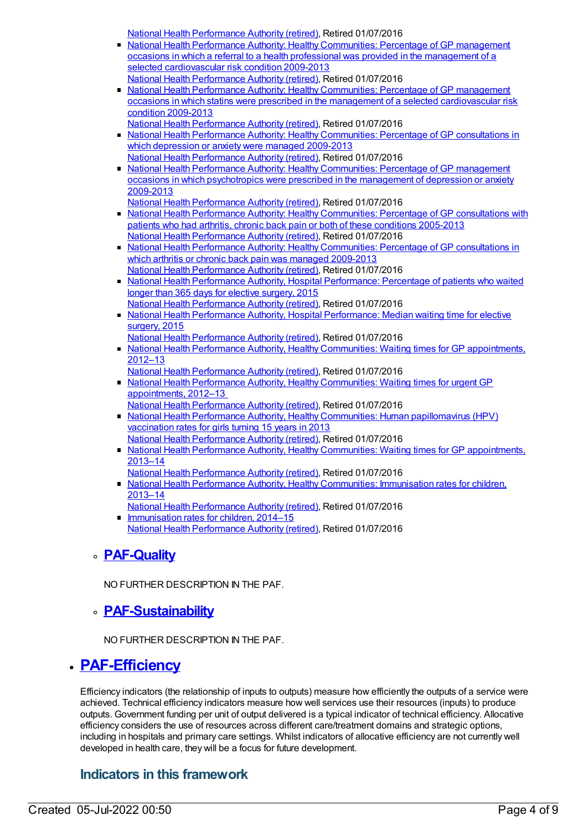National Health [Performance](https://meteor.aihw.gov.au/RegistrationAuthority/8) Authority (retired), Retired 01/07/2016

- National Health Performance Authority: Healthy [Communities:](https://meteor.aihw.gov.au/content/593787) Percentage of GP management occasions in which a referral to a health professional was provided in the management of a selected cardiovascular risk condition 2009-2013 National Health [Performance](https://meteor.aihw.gov.au/RegistrationAuthority/8) Authority (retired), Retired 01/07/2016
- National Health Performance Authority: Healthy Communities: Percentage of GP management occasions in which statins were prescribed in the management of a selected [cardiovascular](https://meteor.aihw.gov.au/content/593789) risk condition 2009-2013
	- National Health [Performance](https://meteor.aihw.gov.au/RegistrationAuthority/8) Authority (retired), Retired 01/07/2016
- National Health Performance Authority: Healthy [Communities:](https://meteor.aihw.gov.au/content/593770) Percentage of GP consultations in which depression or anxiety were managed 2009-2013 National Health [Performance](https://meteor.aihw.gov.au/RegistrationAuthority/8) Authority (retired), Retired 01/07/2016
- National Health Performance Authority: Healthy [Communities:](https://meteor.aihw.gov.au/content/593772) Percentage of GP management occasions in which psychotropics were prescribed in the management of depression or anxiety 2009-2013
	- National Health [Performance](https://meteor.aihw.gov.au/RegistrationAuthority/8) Authority (retired), Retired 01/07/2016
- National Health Performance Authority: Healthy [Communities:](https://meteor.aihw.gov.au/content/593793) Percentage of GP consultations with patients who had arthritis, chronic back pain or both of these conditions 2005-2013 National Health [Performance](https://meteor.aihw.gov.au/RegistrationAuthority/8) Authority (retired), Retired 01/07/2016
- National Health Performance Authority: Healthy [Communities:](https://meteor.aihw.gov.au/content/593796) Percentage of GP consultations in which arthritis or chronic back pain was managed 2009-2013 National Health [Performance](https://meteor.aihw.gov.au/RegistrationAuthority/8) Authority (retired), Retired 01/07/2016
- National Health Performance Authority, Hospital [Performance:](https://meteor.aihw.gov.au/content/602986) Percentage of patients who waited longer than 365 days for elective surgery, 2015 National Health [Performance](https://meteor.aihw.gov.au/RegistrationAuthority/8) Authority (retired), Retired 01/07/2016
- National Health Performance Authority, Hospital [Performance:](https://meteor.aihw.gov.au/content/603005) Median waiting time for elective surgery, 2015
	- National Health [Performance](https://meteor.aihw.gov.au/RegistrationAuthority/8) Authority (retired), Retired 01/07/2016
- National Health Performance Authority, Healthy Communities: Waiting times for GP [appointments,](https://meteor.aihw.gov.au/content/601882) 2012–13
	- National Health [Performance](https://meteor.aihw.gov.au/RegistrationAuthority/8) Authority (retired), Retired 01/07/2016
- National Health Performance Authority, Healthy [Communities:](https://meteor.aihw.gov.au/content/594794) Waiting times for urgent GP appointments, 2012–13
- National Health [Performance](https://meteor.aihw.gov.au/RegistrationAuthority/8) Authority (retired), Retired 01/07/2016
- National Health Performance Authority, Healthy Communities: Human [papillomavirus](https://meteor.aihw.gov.au/content/611806) (HPV) vaccination rates for girls turning 15 years in 2013 National Health [Performance](https://meteor.aihw.gov.au/RegistrationAuthority/8) Authority (retired), Retired 01/07/2016
- National Health Performance Authority, Healthy Communities: Waiting times for GP [appointments,](https://meteor.aihw.gov.au/content/611264) 2013–14
- National Health [Performance](https://meteor.aihw.gov.au/RegistrationAuthority/8) Authority (retired), Retired 01/07/2016
- National Health Performance Authority, Healthy [Communities:](https://meteor.aihw.gov.au/content/611799) Immunisation rates for children, 2013–14
- National Health [Performance](https://meteor.aihw.gov.au/RegistrationAuthority/8) Authority (retired), Retired 01/07/2016
- **[Immunisation](https://meteor.aihw.gov.au/content/630476) rates for children, 2014–15** National Health [Performance](https://meteor.aihw.gov.au/RegistrationAuthority/8) Authority (retired), Retired 01/07/2016

#### **[PAF-Quality](https://meteor.aihw.gov.au/content/554930)**

NO FURTHER DESCRIPTION IN THE PAF.

#### **[PAF-Sustainability](https://meteor.aihw.gov.au/content/554931)**

NO FURTHER DESCRIPTION IN THE PAF.

#### **[PAF-Efficiency](https://meteor.aihw.gov.au/content/554926)**

Efficiency indicators (the relationship of inputs to outputs) measure how efficiently the outputs of a service were achieved. Technical efficiency indicators measure how well services use their resources (inputs) to produce outputs. Government funding per unit of output delivered is a typical indicator of technical efficiency. Allocative efficiency considers the use of resources across different care/treatment domains and strategic options, including in hospitals and primary care settings. Whilst indicators of allocative efficiency are not currently well developed in health care, they will be a focus for future development.

#### **Indicators in this framework**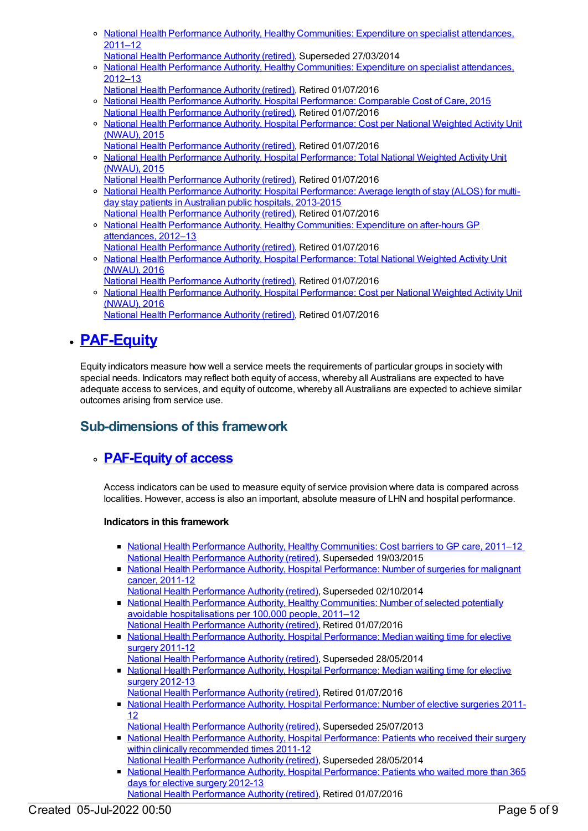- National Health Performance Authority, Healthy [Communities:](https://meteor.aihw.gov.au/content/547090) Expenditure on specialist attendances,  $2011 - 12$
- National Health [Performance](https://meteor.aihw.gov.au/RegistrationAuthority/8) Authority (retired), Superseded 27/03/2014
- o National Health Performance Authority, Healthy [Communities:](https://meteor.aihw.gov.au/content/547958) Expenditure on specialist attendances, 2012–13
- National Health [Performance](https://meteor.aihw.gov.au/RegistrationAuthority/8) Authority (retired), Retired 01/07/2016 o National Health Performance Authority, Hospital [Performance:](https://meteor.aihw.gov.au/content/602633) Comparable Cost of Care, 2015
- National Health [Performance](https://meteor.aihw.gov.au/RegistrationAuthority/8) Authority (retired), Retired 01/07/2016 o National Health Performance Authority, Hospital [Performance:](https://meteor.aihw.gov.au/content/602613) Cost per National Weighted Activity Unit (NWAU), 2015
- National Health [Performance](https://meteor.aihw.gov.au/RegistrationAuthority/8) Authority (retired), Retired 01/07/2016
- National Health Performance Authority, Hospital [Performance:](https://meteor.aihw.gov.au/content/602624) Total National Weighted Activity Unit (NWAU), 2015
	- National Health [Performance](https://meteor.aihw.gov.au/RegistrationAuthority/8) Authority (retired), Retired 01/07/2016
- o National Health Performance Authority: Hospital [Performance:](https://meteor.aihw.gov.au/content/584301) Average length of stay (ALOS) for multiday stay patients in Australian public hospitals, 2013-2015
- National Health [Performance](https://meteor.aihw.gov.au/RegistrationAuthority/8) Authority (retired), Retired 01/07/2016 o National Health Performance Authority, Healthy [Communities:](https://meteor.aihw.gov.au/content/547196) Expenditure on after-hours GP attendances, 2012–13
	- National Health [Performance](https://meteor.aihw.gov.au/RegistrationAuthority/8) Authority (retired), Retired 01/07/2016
- National Health Performance Authority, Hospital [Performance:](https://meteor.aihw.gov.au/content/635556) Total National Weighted Activity Unit (NWAU), 2016
- National Health [Performance](https://meteor.aihw.gov.au/RegistrationAuthority/8) Authority (retired), Retired 01/07/2016 o National Health Performance Authority, Hospital [Performance:](https://meteor.aihw.gov.au/content/635549) Cost per National Weighted Activity Unit (NWAU), 2016
	- National Health [Performance](https://meteor.aihw.gov.au/RegistrationAuthority/8) Authority (retired), Retired 01/07/2016

# **[PAF-Equity](https://meteor.aihw.gov.au/content/554920)**

Equity indicators measure how well a service meets the requirements of particular groups in society with special needs. Indicators may reflect both equity of access, whereby all Australians are expected to have adequate access to services, and equity of outcome, whereby all Australians are expected to achieve similar outcomes arising from service use.

## **Sub-dimensions of this framework**

## **[PAF-Equity](https://meteor.aihw.gov.au/content/554927) of access**

Access indicators can be used to measure equity of service provision where data is compared across localities. However, access is also an important, absolute measure of LHN and hospital performance.

#### **Indicators in this framework**

- National Health Performance Authority, Healthy [Communities:](https://meteor.aihw.gov.au/content/548008) Cost barriers to GP care, 2011–12 National Health [Performance](https://meteor.aihw.gov.au/RegistrationAuthority/8) Authority (retired), Superseded 19/03/2015
- National Health Performance Authority, Hospital [Performance:](https://meteor.aihw.gov.au/content/530143) Number of surgeries for malignant cancer, 2011-12
- National Health [Performance](https://meteor.aihw.gov.au/RegistrationAuthority/8) Authority (retired), Superseded 02/10/2014 • National Health Performance Authority, Healthy Communities: Number of selected potentially avoidable [hospitalisations](https://meteor.aihw.gov.au/content/549587) per 100,000 people, 2011–12
- National Health [Performance](https://meteor.aihw.gov.au/RegistrationAuthority/8) Authority (retired), Retired 01/07/2016
- National Health Performance Authority, Hospital [Performance:](https://meteor.aihw.gov.au/content/527347) Median waiting time for elective surgery 2011-12
- National Health [Performance](https://meteor.aihw.gov.au/RegistrationAuthority/8) Authority (retired), Superseded 28/05/2014
- National Health Performance Authority, Hospital [Performance:](https://meteor.aihw.gov.au/content/532942) Median waiting time for elective surgery 2012-13
- National Health [Performance](https://meteor.aihw.gov.au/RegistrationAuthority/8) Authority (retired), Retired 01/07/2016
- National Health Performance Authority, Hospital [Performance:](https://meteor.aihw.gov.au/content/527374) Number of elective surgeries 2011-12
- National Health [Performance](https://meteor.aihw.gov.au/RegistrationAuthority/8) Authority (retired), Superseded 25/07/2013
- National Health Performance Authority, Hospital [Performance:](https://meteor.aihw.gov.au/content/527368) Patients who received their surgery within clinically recommended times 2011-12
- National Health [Performance](https://meteor.aihw.gov.au/RegistrationAuthority/8) Authority (retired), Superseded 28/05/2014 National Health Performance Authority, Hospital [Performance:](https://meteor.aihw.gov.au/content/532932) Patients who waited more than 365 days for elective surgery 2012-13
- National Health [Performance](https://meteor.aihw.gov.au/RegistrationAuthority/8) Authority (retired), Retired 01/07/2016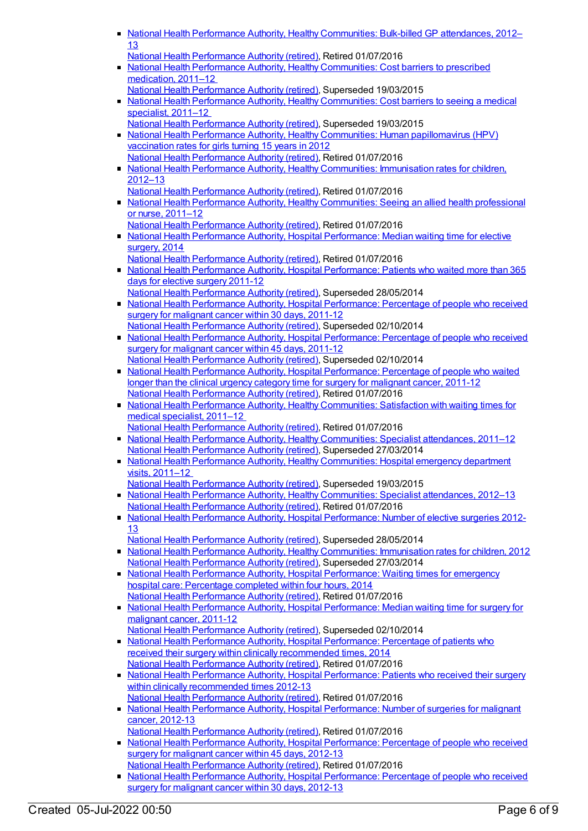- National Health Performance Authority, Healthy [Communities:](https://meteor.aihw.gov.au/content/528911) Bulk-billed GP attendances, 2012– 13
	- National Health [Performance](https://meteor.aihw.gov.au/RegistrationAuthority/8) Authority (retired), Retired 01/07/2016
- National Health Performance Authority, Healthy [Communities:](https://meteor.aihw.gov.au/content/548023) Cost barriers to prescribed medication, 2011-12
- National Health [Performance](https://meteor.aihw.gov.au/RegistrationAuthority/8) Authority (retired), Superseded 19/03/2015 • National Health Performance Authority, Healthy [Communities:](https://meteor.aihw.gov.au/content/548011) Cost barriers to seeing a medical specialist, 2011–12
- National Health [Performance](https://meteor.aihw.gov.au/RegistrationAuthority/8) Authority (retired), Superseded 19/03/2015 • National Health Performance Authority, Healthy Communities: Human [papillomavirus](https://meteor.aihw.gov.au/content/564385) (HPV)
- vaccination rates for girls turning 15 years in 2012 National Health [Performance](https://meteor.aihw.gov.au/RegistrationAuthority/8) Authority (retired), Retired 01/07/2016 ■ National Health Performance Authority, Healthy [Communities:](https://meteor.aihw.gov.au/content/564342) Immunisation rates for children,
- 2012–13 National Health [Performance](https://meteor.aihw.gov.au/RegistrationAuthority/8) Authority (retired), Retired 01/07/2016 • National Health Performance Authority, Healthy [Communities:](https://meteor.aihw.gov.au/content/546854) Seeing an allied health professional
- or nurse, 2011–12 National Health [Performance](https://meteor.aihw.gov.au/RegistrationAuthority/8) Authority (retired), Retired 01/07/2016
- National Health Performance Authority, Hospital [Performance:](https://meteor.aihw.gov.au/content/558302) Median waiting time for elective surgery, 2014
- National Health [Performance](https://meteor.aihw.gov.au/RegistrationAuthority/8) Authority (retired), Retired 01/07/2016
- National Health Performance Authority, Hospital [Performance:](https://meteor.aihw.gov.au/content/527371) Patients who waited more than 365 days for elective surgery 2011-12
- National Health [Performance](https://meteor.aihw.gov.au/RegistrationAuthority/8) Authority (retired), Superseded 28/05/2014 • National Health Performance Authority, Hospital [Performance:](https://meteor.aihw.gov.au/content/530411) Percentage of people who received surgery for malignant cancer within 30 days, 2011-12 National Health [Performance](https://meteor.aihw.gov.au/RegistrationAuthority/8) Authority (retired), Superseded 02/10/2014
- National Health Performance Authority, Hospital [Performance:](https://meteor.aihw.gov.au/content/543422) Percentage of people who received surgery for malignant cancer within 45 days, 2011-12 National Health [Performance](https://meteor.aihw.gov.au/RegistrationAuthority/8) Authority (retired), Superseded 02/10/2014
- National Health Performance Authority, Hospital [Performance:](https://meteor.aihw.gov.au/content/530408) Percentage of people who waited longer than the clinical urgency category time for surgery for malignant cancer, 2011-12 National Health [Performance](https://meteor.aihw.gov.au/RegistrationAuthority/8) Authority (retired), Retired 01/07/2016
- National Health Performance Authority, Healthy [Communities:](https://meteor.aihw.gov.au/content/547997) Satisfaction with waiting times for medical specialist, 2011–12 National Health [Performance](https://meteor.aihw.gov.au/RegistrationAuthority/8) Authority (retired), Retired 01/07/2016
- National Health Performance Authority, Healthy [Communities:](https://meteor.aihw.gov.au/content/547062) Specialist attendances, 2011-12 National Health [Performance](https://meteor.aihw.gov.au/RegistrationAuthority/8) Authority (retired), Superseded 27/03/2014
- National Health Performance Authority, Healthy [Communities:](https://meteor.aihw.gov.au/content/548002) Hospital emergency department visits, 2011–12
- National Health [Performance](https://meteor.aihw.gov.au/RegistrationAuthority/8) Authority (retired), Superseded 19/03/2015
- National Health Performance Authority, Healthy [Communities:](https://meteor.aihw.gov.au/content/547952) Specialist attendances, 2012–13 National Health [Performance](https://meteor.aihw.gov.au/RegistrationAuthority/8) Authority (retired), Retired 01/07/2016
- National Health Performance Authority, Hospital [Performance:](https://meteor.aihw.gov.au/content/532929) Number of elective surgeries 2012- 13
- National Health [Performance](https://meteor.aihw.gov.au/RegistrationAuthority/8) Authority (retired), Superseded 28/05/2014 National Health Performance Authority, Healthy [Communities:](https://meteor.aihw.gov.au/content/515538) Immunisation rates for children, 2012 National Health [Performance](https://meteor.aihw.gov.au/RegistrationAuthority/8) Authority (retired), Superseded 27/03/2014
- National Health Performance Authority, Hospital [Performance:](https://meteor.aihw.gov.au/content/558277) Waiting times for emergency hospital care: Percentage completed within four hours, 2014 National Health [Performance](https://meteor.aihw.gov.au/RegistrationAuthority/8) Authority (retired), Retired 01/07/2016
- National Health Performance Authority, Hospital [Performance:](https://meteor.aihw.gov.au/content/530403) Median waiting time for surgery for malignant cancer, 2011-12
- National Health [Performance](https://meteor.aihw.gov.au/RegistrationAuthority/8) Authority (retired), Superseded 02/10/2014 • National Health Performance Authority, Hospital [Performance:](https://meteor.aihw.gov.au/content/558300) Percentage of patients who
- received their surgery within clinically recommended times, 2014 National Health [Performance](https://meteor.aihw.gov.au/RegistrationAuthority/8) Authority (retired), Retired 01/07/2016
- National Health Performance Authority, Hospital [Performance:](https://meteor.aihw.gov.au/content/532935) Patients who received their surgery within clinically recommended times 2012-13 National Health [Performance](https://meteor.aihw.gov.au/RegistrationAuthority/8) Authority (retired), Retired 01/07/2016
- National Health Performance Authority, Hospital [Performance:](https://meteor.aihw.gov.au/content/579929) Number of surgeries for malignant cancer, 2012-13
- National Health [Performance](https://meteor.aihw.gov.au/RegistrationAuthority/8) Authority (retired), Retired 01/07/2016
- National Health Performance Authority, Hospital [Performance:](https://meteor.aihw.gov.au/content/579894) Percentage of people who received surgery for malignant cancer within 45 days, 2012-13
- National Health [Performance](https://meteor.aihw.gov.au/RegistrationAuthority/8) Authority (retired), Retired 01/07/2016 • National Health Performance Authority, Hospital [Performance:](https://meteor.aihw.gov.au/content/579993) Percentage of people who received
- surgery for malignant cancer within 30 days, 2012-13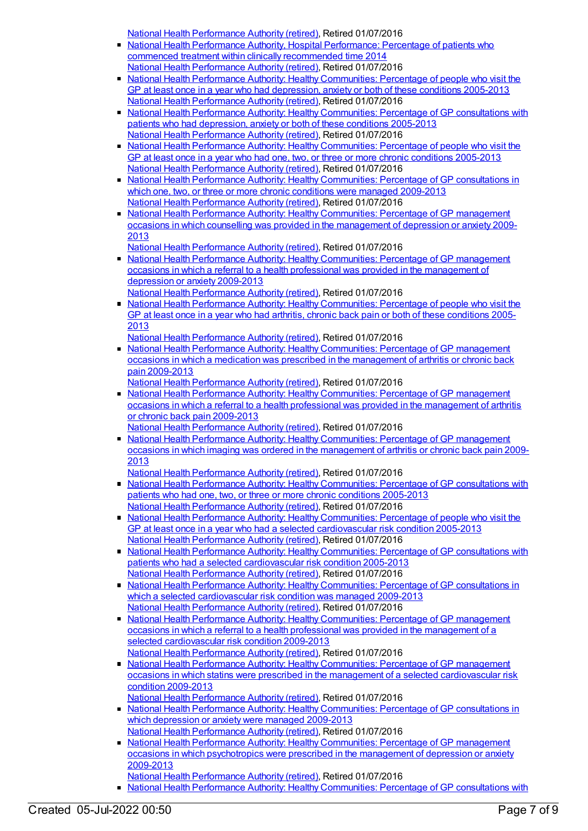National Health [Performance](https://meteor.aihw.gov.au/RegistrationAuthority/8) Authority (retired), Retired 01/07/2016

- National Health Performance Authority, Hospital [Performance:](https://meteor.aihw.gov.au/content/563081) Percentage of patients who commenced treatment within clinically recommended time 2014 National Health [Performance](https://meteor.aihw.gov.au/RegistrationAuthority/8) Authority (retired), Retired 01/07/2016
- National Health Performance Authority: Healthy [Communities:](https://meteor.aihw.gov.au/content/593768) Percentage of people who visit the GP at least once in a year who had depression, anxiety or both of these conditions 2005-2013 National Health [Performance](https://meteor.aihw.gov.au/RegistrationAuthority/8) Authority (retired), Retired 01/07/2016
- National Health Performance Authority: Healthy [Communities:](https://meteor.aihw.gov.au/content/588162) Percentage of GP consultations with patients who had depression, anxiety or both of these conditions 2005-2013 National Health [Performance](https://meteor.aihw.gov.au/RegistrationAuthority/8) Authority (retired), Retired 01/07/2016
- National Health Performance Authority: Healthy [Communities:](https://meteor.aihw.gov.au/content/586349) Percentage of people who visit the GP at least once in a year who had one, two, or three or more chronic conditions 2005-2013 National Health [Performance](https://meteor.aihw.gov.au/RegistrationAuthority/8) Authority (retired), Retired 01/07/2016
- National Health Performance Authority: Healthy [Communities:](https://meteor.aihw.gov.au/content/586345) Percentage of GP consultations in which one, two, or three or more chronic conditions were managed 2009-2013 National Health [Performance](https://meteor.aihw.gov.au/RegistrationAuthority/8) Authority (retired), Retired 01/07/2016
- National Health Performance Authority: Healthy [Communities:](https://meteor.aihw.gov.au/content/593774) Percentage of GP management occasions in which counselling was provided in the management of depression or anxiety 2009- 2013

National Health [Performance](https://meteor.aihw.gov.au/RegistrationAuthority/8) Authority (retired), Retired 01/07/2016

- National Health Performance Authority: Healthy [Communities:](https://meteor.aihw.gov.au/content/594756) Percentage of GP management occasions in which a referral to a health professional was provided in the management of depression or anxiety 2009-2013
- National Health [Performance](https://meteor.aihw.gov.au/RegistrationAuthority/8) Authority (retired), Retired 01/07/2016 • National Health Performance Authority: Healthy [Communities:](https://meteor.aihw.gov.au/content/593791) Percentage of people who visit the GP at least once in a year who had arthritis, chronic back pain or both of these conditions 2005- 2013

National Health [Performance](https://meteor.aihw.gov.au/RegistrationAuthority/8) Authority (retired), Retired 01/07/2016

National Health Performance Authority: Healthy [Communities:](https://meteor.aihw.gov.au/content/593798) Percentage of GP management occasions in which a medication was prescribed in the management of arthritis or chronic back pain 2009-2013

National Health [Performance](https://meteor.aihw.gov.au/RegistrationAuthority/8) Authority (retired), Retired 01/07/2016

- National Health Performance Authority: Healthy [Communities:](https://meteor.aihw.gov.au/content/595024) Percentage of GP management occasions in which a referral to a health professional was provided in the management of arthritis or chronic back pain 2009-2013
- National Health [Performance](https://meteor.aihw.gov.au/RegistrationAuthority/8) Authority (retired), Retired 01/07/2016
- National Health Performance Authority: Healthy [Communities:](https://meteor.aihw.gov.au/content/593803) Percentage of GP management occasions in which imaging was ordered in the management of arthritis or chronic back pain 2009- 2013

National Health [Performance](https://meteor.aihw.gov.au/RegistrationAuthority/8) Authority (retired), Retired 01/07/2016

- National Health Performance Authority: Healthy [Communities:](https://meteor.aihw.gov.au/content/586342) Percentage of GP consultations with patients who had one, two, or three or more chronic conditions 2005-2013 National Health [Performance](https://meteor.aihw.gov.au/RegistrationAuthority/8) Authority (retired), Retired 01/07/2016
- National Health Performance Authority: Healthy [Communities:](https://meteor.aihw.gov.au/content/593780) Percentage of people who visit the GP at least once in a year who had a selected cardiovascular risk condition 2005-2013 National Health [Performance](https://meteor.aihw.gov.au/RegistrationAuthority/8) Authority (retired), Retired 01/07/2016
- **National Health Performance Authority: Healthy [Communities:](https://meteor.aihw.gov.au/content/593783) Percentage of GP consultations with** patients who had a selected cardiovascular risk condition 2005-2013 National Health [Performance](https://meteor.aihw.gov.au/RegistrationAuthority/8) Authority (retired), Retired 01/07/2016
- National Health Performance Authority: Healthy [Communities:](https://meteor.aihw.gov.au/content/593785) Percentage of GP consultations in which a selected cardiovascular risk condition was managed 2009-2013 National Health [Performance](https://meteor.aihw.gov.au/RegistrationAuthority/8) Authority (retired), Retired 01/07/2016
- National Health Performance Authority: Healthy [Communities:](https://meteor.aihw.gov.au/content/593787) Percentage of GP management occasions in which a referral to a health professional was provided in the management of a selected cardiovascular risk condition 2009-2013 National Health [Performance](https://meteor.aihw.gov.au/RegistrationAuthority/8) Authority (retired), Retired 01/07/2016
- National Health Performance Authority: Healthy Communities: Percentage of GP management occasions in which statins were prescribed in the management of a selected [cardiovascular](https://meteor.aihw.gov.au/content/593789) risk condition 2009-2013
	- National Health [Performance](https://meteor.aihw.gov.au/RegistrationAuthority/8) Authority (retired), Retired 01/07/2016
- National Health Performance Authority: Healthy [Communities:](https://meteor.aihw.gov.au/content/593770) Percentage of GP consultations in which depression or anxiety were managed 2009-2013 National Health [Performance](https://meteor.aihw.gov.au/RegistrationAuthority/8) Authority (retired), Retired 01/07/2016
- National Health Performance Authority: Healthy [Communities:](https://meteor.aihw.gov.au/content/593772) Percentage of GP management occasions in which psychotropics were prescribed in the management of depression or anxiety 2009-2013
- National Health [Performance](https://meteor.aihw.gov.au/RegistrationAuthority/8) Authority (retired), Retired 01/07/2016
- National Health Performance Authority: Healthy [Communities:](https://meteor.aihw.gov.au/content/593793) Percentage of GP consultations with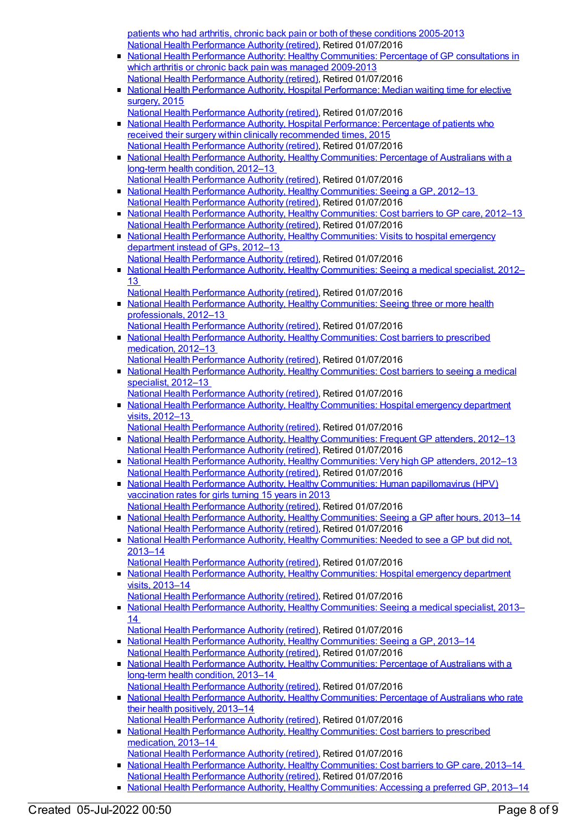patients who had arthritis, chronic back pain or both of these conditions 2005-2013 National Health [Performance](https://meteor.aihw.gov.au/RegistrationAuthority/8) Authority (retired), Retired 01/07/2016

- National Health Performance Authority: Healthy [Communities:](https://meteor.aihw.gov.au/content/593796) Percentage of GP consultations in which arthritis or chronic back pain was managed 2009-2013 National Health [Performance](https://meteor.aihw.gov.au/RegistrationAuthority/8) Authority (retired), Retired 01/07/2016
- National Health Performance Authority, Hospital [Performance:](https://meteor.aihw.gov.au/content/603005) Median waiting time for elective surgery, 2015
	- National Health [Performance](https://meteor.aihw.gov.au/RegistrationAuthority/8) Authority (retired), Retired 01/07/2016
- National Health Performance Authority, Hospital [Performance:](https://meteor.aihw.gov.au/content/603039) Percentage of patients who received their surgery within clinically recommended times, 2015 National Health [Performance](https://meteor.aihw.gov.au/RegistrationAuthority/8) Authority (retired), Retired 01/07/2016
- National Health Performance Authority, Healthy [Communities:](https://meteor.aihw.gov.au/content/594173) Percentage of Australians with a long-term health condition, 2012–13 National Health [Performance](https://meteor.aihw.gov.au/RegistrationAuthority/8) Authority (retired), Retired 01/07/2016
- National Health Performance Authority, Healthy [Communities:](https://meteor.aihw.gov.au/content/594116) Seeing a GP, 2012-13 National Health [Performance](https://meteor.aihw.gov.au/RegistrationAuthority/8) Authority (retired), Retired 01/07/2016
- National Health Performance Authority, Healthy [Communities:](https://meteor.aihw.gov.au/content/601737) Cost barriers to GP care, 2012–13 National Health [Performance](https://meteor.aihw.gov.au/RegistrationAuthority/8) Authority (retired), Retired 01/07/2016
- National Health Performance Authority, Healthy [Communities:](https://meteor.aihw.gov.au/content/594106) Visits to hospital emergency department instead of GPs, 2012–13
- National Health [Performance](https://meteor.aihw.gov.au/RegistrationAuthority/8) Authority (retired), Retired 01/07/2016 ■ National Health Performance Authority, Healthy [Communities:](https://meteor.aihw.gov.au/content/594772) Seeing a medical specialist, 2012– 13
- National Health [Performance](https://meteor.aihw.gov.au/RegistrationAuthority/8) Authority (retired), Retired 01/07/2016
- National Health Performance Authority, Healthy [Communities:](https://meteor.aihw.gov.au/content/601739) Seeing three or more health professionals, 2012–13
- National Health [Performance](https://meteor.aihw.gov.au/RegistrationAuthority/8) Authority (retired), Retired 01/07/2016 • National Health Performance Authority, Healthy [Communities:](https://meteor.aihw.gov.au/content/601821) Cost barriers to prescribed
- medication, 2012–13 National Health [Performance](https://meteor.aihw.gov.au/RegistrationAuthority/8) Authority (retired), Retired 01/07/2016
- National Health Performance Authority, Healthy [Communities:](https://meteor.aihw.gov.au/content/601815) Cost barriers to seeing a medical specialist, 2012–13
- National Health [Performance](https://meteor.aihw.gov.au/RegistrationAuthority/8) Authority (retired), Retired 01/07/2016
- National Health Performance Authority, Healthy [Communities:](https://meteor.aihw.gov.au/content/601895) Hospital emergency department visits, 2012–13
- National Health [Performance](https://meteor.aihw.gov.au/RegistrationAuthority/8) Authority (retired), Retired 01/07/2016
- **National Health Performance Authority, Healthy [Communities:](https://meteor.aihw.gov.au/content/601534) Frequent GP attenders, 2012-13** National Health [Performance](https://meteor.aihw.gov.au/RegistrationAuthority/8) Authority (retired), Retired 01/07/2016
- National Health Performance Authority, Healthy [Communities:](https://meteor.aihw.gov.au/content/601536) Very high GP attenders, 2012–13 National Health [Performance](https://meteor.aihw.gov.au/RegistrationAuthority/8) Authority (retired), Retired 01/07/2016
- National Health Performance Authority, Healthy Communities: Human [papillomavirus](https://meteor.aihw.gov.au/content/611806) (HPV) vaccination rates for girls turning 15 years in 2013 National Health [Performance](https://meteor.aihw.gov.au/RegistrationAuthority/8) Authority (retired), Retired 01/07/2016
- National Health Performance Authority, Healthy [Communities:](https://meteor.aihw.gov.au/content/611260) Seeing a GP after hours, 2013–14 National Health [Performance](https://meteor.aihw.gov.au/RegistrationAuthority/8) Authority (retired), Retired 01/07/2016
- National Health Performance Authority, Healthy [Communities:](https://meteor.aihw.gov.au/content/611126) Needed to see a GP but did not, 2013–14
	- National Health [Performance](https://meteor.aihw.gov.au/RegistrationAuthority/8) Authority (retired), Retired 01/07/2016
- National Health Performance Authority, Healthy [Communities:](https://meteor.aihw.gov.au/content/611080) Hospital emergency department visits, 2013–14
- National Health [Performance](https://meteor.aihw.gov.au/RegistrationAuthority/8) Authority (retired), Retired 01/07/2016
- National Health Performance Authority, Healthy [Communities:](https://meteor.aihw.gov.au/content/611072) Seeing a medical specialist, 2013– 14
	- National Health [Performance](https://meteor.aihw.gov.au/RegistrationAuthority/8) Authority (retired), Retired 01/07/2016
- National Health Performance Authority, Healthy [Communities:](https://meteor.aihw.gov.au/content/611063) Seeing a GP, 2013-14 National Health [Performance](https://meteor.aihw.gov.au/RegistrationAuthority/8) Authority (retired), Retired 01/07/2016
- National Health Performance Authority, Healthy [Communities:](https://meteor.aihw.gov.au/content/611058) Percentage of Australians with a long-term health condition, 2013–14 National Health [Performance](https://meteor.aihw.gov.au/RegistrationAuthority/8) Authority (retired), Retired 01/07/2016
- National Health Performance Authority, Healthy [Communities:](https://meteor.aihw.gov.au/content/611056) Percentage of Australians who rate their health positively, 2013–14 National Health [Performance](https://meteor.aihw.gov.au/RegistrationAuthority/8) Authority (retired), Retired 01/07/2016
- National Health Performance Authority, Healthy [Communities:](https://meteor.aihw.gov.au/content/611273) Cost barriers to prescribed medication, 2013–14
	- National Health [Performance](https://meteor.aihw.gov.au/RegistrationAuthority/8) Authority (retired), Retired 01/07/2016
- National Health Performance Authority, Healthy [Communities:](https://meteor.aihw.gov.au/content/611270) Cost barriers to GP care, 2013–14 National Health [Performance](https://meteor.aihw.gov.au/RegistrationAuthority/8) Authority (retired), Retired 01/07/2016
- National Health Performance Authority, Healthy [Communities:](https://meteor.aihw.gov.au/content/611262) Accessing a preferred GP, 2013-14